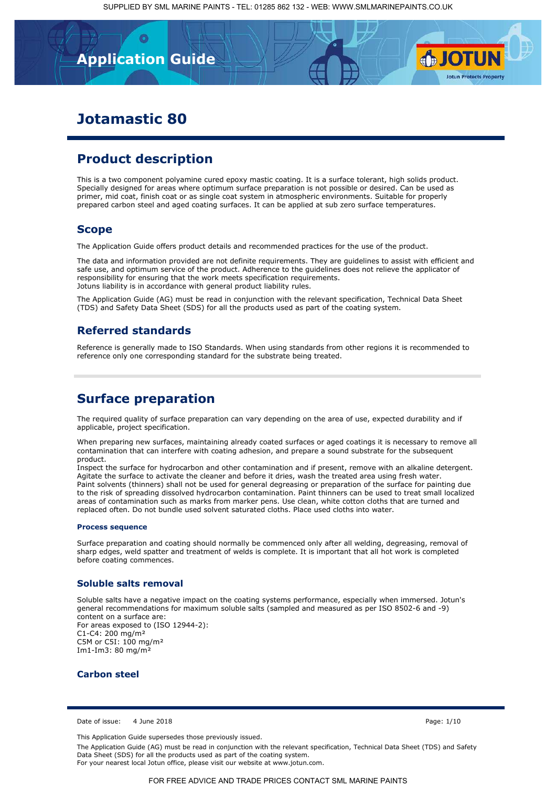## **Technical Data Sheet Application Guide**

# **Jotamastic 80**

## **Product description**

This is a two component polyamine cured epoxy mastic coating. It is a surface tolerant, high solids product. Specially designed for areas where optimum surface preparation is not possible or desired. Can be used as primer, mid coat, finish coat or as single coat system in atmospheric environments. Suitable for properly prepared carbon steel and aged coating surfaces. It can be applied at sub zero surface temperatures.

## **Scope**

The Application Guide offers product details and recommended practices for the use of the product.

The data and information provided are not definite requirements. They are guidelines to assist with efficient and safe use, and optimum service of the product. Adherence to the guidelines does not relieve the applicator of responsibility for ensuring that the work meets specification requirements. Jotuns liability is in accordance with general product liability rules.

The Application Guide (AG) must be read in conjunction with the relevant specification, Technical Data Sheet (TDS) and Safety Data Sheet (SDS) for all the products used as part of the coating system.

## **Referred standards**

Reference is generally made to ISO Standards. When using standards from other regions it is recommended to reference only one corresponding standard for the substrate being treated.

## **Surface preparation**

The required quality of surface preparation can vary depending on the area of use, expected durability and if applicable, project specification.

[When preparing new surfaces, maintaining already coated surfaces or aged coatings it is necessary to remove all](https://www.smlmarinepaints.co.uk/primers/jotamastic-range/jotamastic-80)  contamination that can interfere with coating adhesion, and prepare a sound substrate for the subsequent product.

Inspect the surface for hydrocarbon and other contamination and if present, remove with an alkaline detergent. Agitate the surface to activate the cleaner and before it dries, wash the treated area using fresh water. Paint solvents (thinners) shall not be used for general degreasing or preparation of the surface for painting due to the risk of spreading dissolved hydrocarbon contamination. Paint thinners can be used to treat small localized areas of contamination such as marks from marker pens. Use clean, white cotton cloths that are turned and replaced often. Do not bundle used solvent saturated cloths. Place used cloths into water.

#### **Process sequence**

Surface preparation and coating should normally be commenced only after all welding, degreasing, removal of sharp edges, weld spatter and treatment of welds is complete. It is important that all hot work is completed before coating commences.

### **Soluble salts removal**

Soluble salts have a negative impact on the coating systems performance, especially when immersed. Jotun's general recommendations for maximum soluble salts (sampled and measured as per ISO 8502-6 and -9) content on a surface are: For areas exposed to (ISO 12944-2): C1-C4: 200 mg/m² C5M or C5I: 100 mg/m² Im1-Im3: 80 mg/m²

### **Carbon steel**

Date of issue: 4 June 2018 Page: 1/10

**SJOTUN** 

**Jotun Protects Property** 

This Application Guide supersedes those previously issued.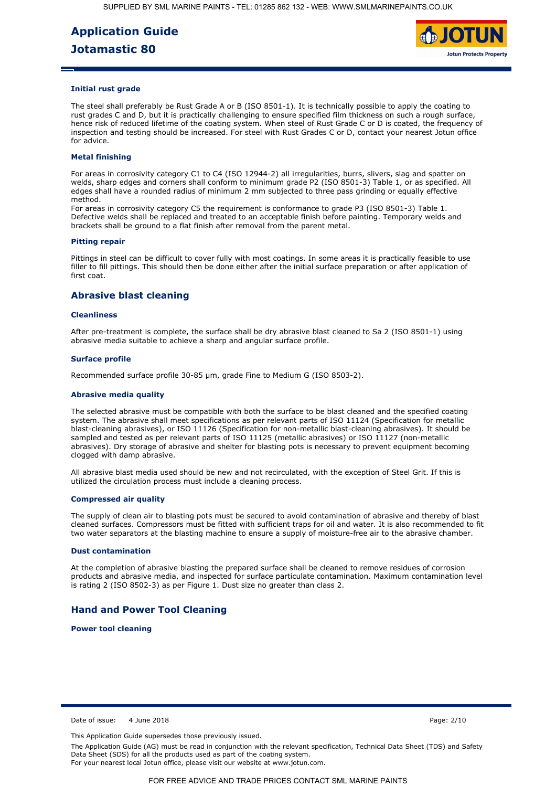

#### **Initial rust grade**

The steel shall preferably be Rust Grade A or B (ISO 8501-1). It is technically possible to apply the coating to rust grades C and D, but it is practically challenging to ensure specified film thickness on such a rough surface, hence risk of reduced lifetime of the coating system. When steel of Rust Grade C or D is coated, the frequency of inspection and testing should be increased. For steel with Rust Grades C or D, contact your nearest Jotun office for advice.

### **Metal finishing**

For areas in corrosivity category C1 to C4 (ISO 12944-2) all irregularities, burrs, slivers, slag and spatter on welds, sharp edges and corners shall conform to minimum grade P2 (ISO 8501-3) Table 1, or as specified. All edges shall have a rounded radius of minimum 2 mm subjected to three pass grinding or equally effective method.

For areas in corrosivity category C5 the requirement is conformance to grade P3 (ISO 8501-3) Table 1. Defective welds shall be replaced and treated to an acceptable finish before painting. Temporary welds and brackets shall be ground to a flat finish after removal from the parent metal.

#### **Pitting repair**

Pittings in steel can be difficult to cover fully with most coatings. In some areas it is practically feasible to use filler to fill pittings. This should then be done either after the initial surface preparation or after application of first coat.

### **Abrasive blast cleaning**

#### **Cleanliness**

After pre-treatment is complete, the surface shall be dry abrasive blast cleaned to Sa 2 (ISO 8501-1) using abrasive media suitable to achieve a sharp and angular surface profile.

#### **Surface profile**

Recommended surface profile 30-85 µm, grade Fine to Medium G (ISO 8503-2).

#### **Abrasive media quality**

The selected abrasive must be compatible with both the surface to be blast cleaned and the specified coating system. The abrasive shall meet specifications as per relevant parts of ISO 11124 (Specification for metallic blast-cleaning abrasives), or ISO 11126 (Specification for non-metallic blast-cleaning abrasives). It should be sampled and tested as per relevant parts of ISO 11125 (metallic abrasives) or ISO 11127 (non-metallic abrasives). Dry storage of abrasive and shelter for blasting pots is necessary to prevent equipment becoming clogged with damp abrasive.

All abrasive blast media used should be new and not recirculated, with the exception of Steel Grit. If this is utilized the circulation process must include a cleaning process.

#### **Compressed air quality**

The supply of clean air to blasting pots must be secured to avoid contamination of abrasive and thereby of blast [cleaned surfaces. Compressors must be fitted with sufficient traps for oil and water. It is also recommended to fit](https://www.smlmarinepaints.co.uk/primers/jotamastic-range/jotamastic-80)  two water separators at the blasting machine to ensure a supply of moisture-free air to the abrasive chamber.

#### **Dust contamination**

At the completion of abrasive blasting the prepared surface shall be cleaned to remove residues of corrosion products and abrasive media, and inspected for surface particulate contamination. Maximum contamination level is rating 2 (ISO 8502-3) as per Figure 1. Dust size no greater than class 2.

## **Hand and Power Tool Cleaning**

**Power tool cleaning**

Date of issue: 4 June 2018 Page: 2/10

This Application Guide supersedes those previously issued.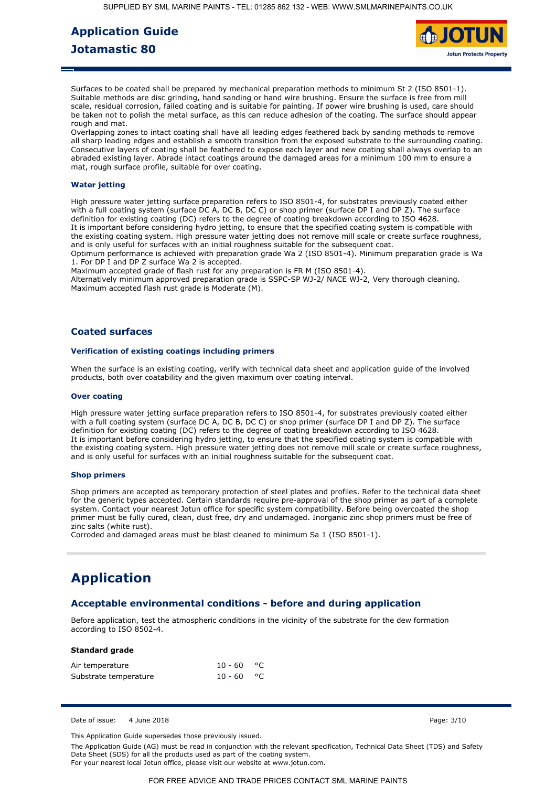

Surfaces to be coated shall be prepared by mechanical preparation methods to minimum St 2 (ISO 8501-1). Suitable methods are disc grinding, hand sanding or hand wire brushing. Ensure the surface is free from mill scale, residual corrosion, failed coating and is suitable for painting. If power wire brushing is used, care should be taken not to polish the metal surface, as this can reduce adhesion of the coating. The surface should appear rough and mat.

Overlapping zones to intact coating shall have all leading edges feathered back by sanding methods to remove all sharp leading edges and establish a smooth transition from the exposed substrate to the surrounding coating. Consecutive layers of coating shall be feathered to expose each layer and new coating shall always overlap to an abraded existing layer. Abrade intact coatings around the damaged areas for a minimum 100 mm to ensure a mat, rough surface profile, suitable for over coating.

### **Water jetting**

High pressure water jetting surface preparation refers to ISO 8501-4, for substrates previously coated either with a full coating system (surface DC A, DC B, DC C) or shop primer (surface DP I and DP Z). The surface definition for existing coating (DC) refers to the degree of coating breakdown according to ISO 4628. It is important before considering hydro jetting, to ensure that the specified coating system is compatible with the existing coating system. High pressure water jetting does not remove mill scale or create surface roughness, and is only useful for surfaces with an initial roughness suitable for the subsequent coat.

Optimum performance is achieved with preparation grade Wa 2 (ISO 8501-4). Minimum preparation grade is Wa 1. For DP I and DP Z surface Wa 2 is accepted.

Maximum accepted grade of flash rust for any preparation is FR M (ISO 8501-4).

Alternatively minimum approved preparation grade is SSPC-SP WJ-2/ NACE WJ-2, Very thorough cleaning. Maximum accepted flash rust grade is Moderate (M).

### **Coated surfaces**

### **Verification of existing coatings including primers**

When the surface is an existing coating, verify with technical data sheet and application guide of the involved products, both over coatability and the given maximum over coating interval.

#### **Over coating**

High pressure water jetting surface preparation refers to ISO 8501-4, for substrates previously coated either with a full coating system (surface DC A, DC B, DC C) or shop primer (surface DP I and DP Z). The surface definition for existing coating (DC) refers to the degree of coating breakdown according to ISO 4628. It is important before considering hydro jetting, to ensure that the specified coating system is compatible with the existing coating system. High pressure water jetting does not remove mill scale or create surface roughness, and is only useful for surfaces with an initial roughness suitable for the subsequent coat.

#### **Shop primers**

Shop primers are accepted as temporary protection of steel plates and profiles. Refer to the technical data sheet for the generic types accepted. Certain standards require pre-approval of the shop primer as part of a complete system. Contact your nearest Jotun office for specific system compatibility. Before being overcoated the shop primer must be fully cured, clean, dust free, dry and undamaged. Inorganic zinc shop primers must be free of zinc salts (white rust).

Corroded and damaged areas must be blast cleaned to minimum Sa 1 (ISO 8501-1).

# **Application**

## **[Acceptable environmental conditions - before and during application](https://www.smlmarinepaints.co.uk/primers/jotamastic-range/jotamastic-80)**

Before application, test the atmospheric conditions in the vicinity of the substrate for the dew formation according to ISO 8502-4.

#### **Standard grade**

| Air temperature       | $10 - 60$ °C |  |
|-----------------------|--------------|--|
| Substrate temperature | $10 - 60$ °C |  |

Date of issue: 4 June 2018 Page: 3/10

This Application Guide supersedes those previously issued.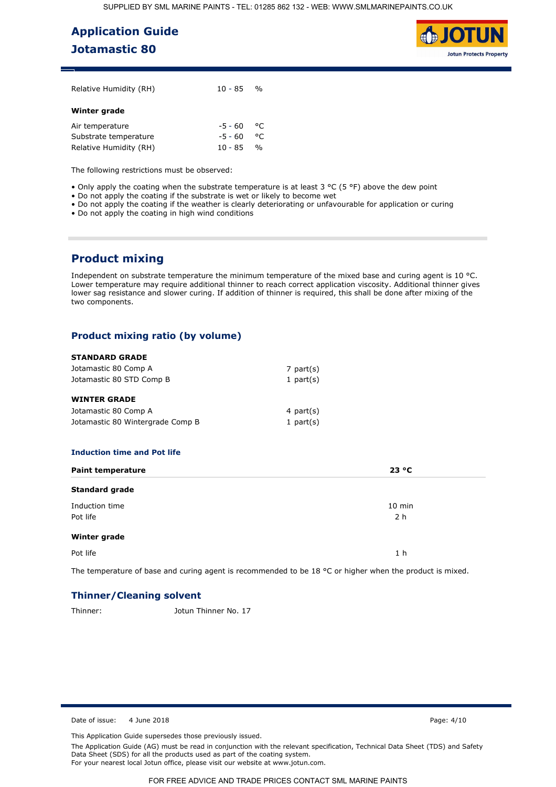

| Relative Humidity (RH) | $10 - 85$ %  |               |  |
|------------------------|--------------|---------------|--|
| Winter grade           |              |               |  |
| Air temperature        | $-5 - 60$ °C |               |  |
| Substrate temperature  | -5 - 60      | ೀ             |  |
| Relative Humidity (RH) | 10 - 85      | $\frac{0}{0}$ |  |

The following restrictions must be observed:

• Only apply the coating when the substrate temperature is at least 3 °C (5 °F) above the dew point

- Do not apply the coating if the substrate is wet or likely to become wet
- Do not apply the coating if the weather is clearly deteriorating or unfavourable for application or curing
- Do not apply the coating in high wind conditions

## **Product mixing**

Independent on substrate temperature the minimum temperature of the mixed base and curing agent is 10 °C. [Lower temperature may require additional thinner to reach correct application viscosity. Additional thinner gives](https://www.smlmarinepaints.co.uk/primers/jotamastic-range/jotamastic-80)  lower sag resistance and slower curing. If addition of thinner is required, this shall be done after mixing of the two components.

### **Product mixing ratio (by volume)**

## **STANDARD GRADE**

| Jotamastic 80 Comp A             | 7 part(s)    |
|----------------------------------|--------------|
| Jotamastic 80 STD Comp B         | 1 part $(s)$ |
| <b>WINTER GRADE</b>              |              |
| Jotamastic 80 Comp A             | 4 part $(s)$ |
| Jotamastic 80 Wintergrade Comp B | 1 part $(s)$ |

#### **Induction time and Pot life**

| <b>Paint temperature</b>   | 23 °C           |
|----------------------------|-----------------|
| <b>Standard grade</b>      |                 |
| Induction time<br>Pot life | $10$ min<br>2 h |
| Winter grade               |                 |
| Pot life                   | 1 <sub>h</sub>  |

The temperature of base and curing agent is recommended to be 18 °C or higher when the product is mixed.

## **Thinner/Cleaning solvent**

Thinner: Jotun Thinner No. 17

Date of issue: 4 June 2018 **Page: 4/10** Page: 4/10

This Application Guide supersedes those previously issued.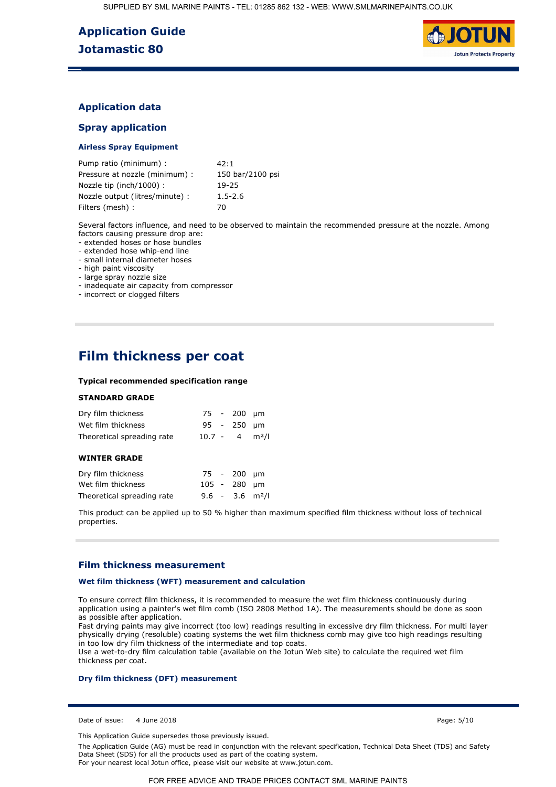

## **Application data**

## **Spray application**

### **Airless Spray Equipment**

| Pump ratio (minimum) :          | 42:1             |
|---------------------------------|------------------|
| Pressure at nozzle (minimum) :  | 150 bar/2100 psi |
| Nozzle tip (inch/1000):         | 19-25            |
| Nozzle output (litres/minute) : | $1.5 - 2.6$      |
| Filters (mesh) :                | 70               |

[Several factors influence, and need to be observed to maintain the recommended pressure at the nozzle. Among](https://www.smlmarinepaints.co.uk/primers/jotamastic-range/jotamastic-80)  factors causing pressure drop are:

- extended hoses or hose bundles

- extended hose whip-end line

- small internal diameter hoses

- high paint viscosity

- large spray nozzle size

- inadequate air capacity from compressor

- incorrect or clogged filters

# **Film thickness per coat**

#### **Typical recommended specification range**

### **STANDARD GRADE**

| Dry film thickness         |  | 75 - 200 µm                  |  |
|----------------------------|--|------------------------------|--|
| Wet film thickness         |  | 95 - 250 um                  |  |
| Theoretical spreading rate |  | $10.7 - 4$ m <sup>2</sup> /l |  |

### **WINTER GRADE**

| Dry film thickness         |  | 75 - 200 um  |                               |
|----------------------------|--|--------------|-------------------------------|
| Wet film thickness         |  | 105 - 280 um |                               |
| Theoretical spreading rate |  |              | $9.6 - 3.6$ m <sup>2</sup> /l |

This product can be applied up to 50 % higher than maximum specified film thickness without loss of technical properties.

### **Film thickness measurement**

#### **Wet film thickness (WFT) measurement and calculation**

To ensure correct film thickness, it is recommended to measure the wet film thickness continuously during application using a painter's wet film comb (ISO 2808 Method 1A). The measurements should be done as soon as possible after application.

Fast drying paints may give incorrect (too low) readings resulting in excessive dry film thickness. For multi layer physically drying (resoluble) coating systems the wet film thickness comb may give too high readings resulting in too low dry film thickness of the intermediate and top coats.

Use a wet-to-dry film calculation table (available on the Jotun Web site) to calculate the required wet film thickness per coat.

### **Dry film thickness (DFT) measurement**

Date of issue: 4 June 2018 Page: 5/10

This Application Guide supersedes those previously issued.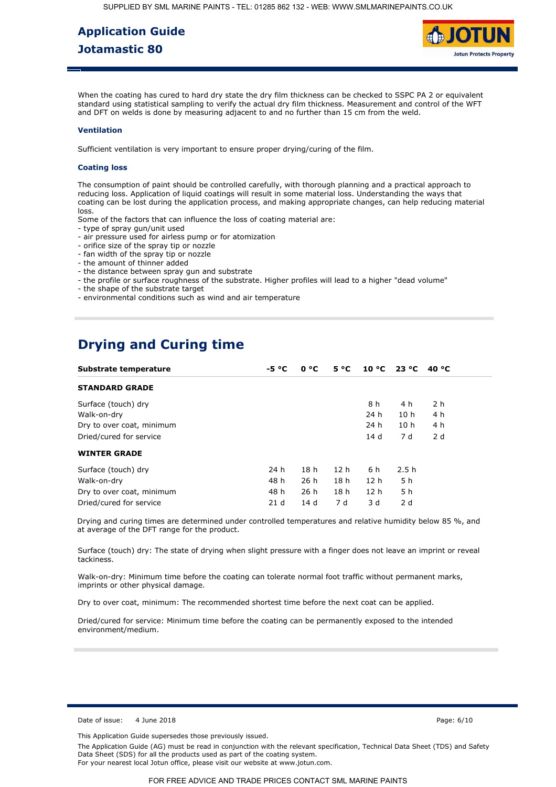

When the coating has cured to hard dry state the dry film thickness can be checked to SSPC PA 2 or equivalent standard using statistical sampling to verify the actual dry film thickness. Measurement and control of the WFT and DFT on welds is done by measuring adjacent to and no further than 15 cm from the weld.

#### **Ventilation**

Sufficient ventilation is very important to ensure proper drying/curing of the film.

#### **Coating loss**

The consumption of paint should be controlled carefully, with thorough planning and a practical approach to reducing loss. Application of liquid coatings will result in some material loss. Understanding the ways that [coating can be lost during the application process, and making appropriate changes, can help reducing material](https://www.smlmarinepaints.co.uk/primers/jotamastic-range/jotamastic-80)  loss.

Some of the factors that can influence the loss of coating material are:

- type of spray gun/unit used
- air pressure used for airless pump or for atomization
- orifice size of the spray tip or nozzle
- fan width of the spray tip or nozzle
- the amount of thinner added
- the distance between spray gun and substrate
- the profile or surface roughness of the substrate. Higher profiles will lead to a higher "dead volume"
- the shape of the substrate target
- environmental conditions such as wind and air temperature

# **Drying and Curing time**

| Substrate temperature     | $-5 °C$ | 0 °C            | $5^{\circ}C$    | $10 °C$ 23 °C   |                 | 40 °C          |
|---------------------------|---------|-----------------|-----------------|-----------------|-----------------|----------------|
| <b>STANDARD GRADE</b>     |         |                 |                 |                 |                 |                |
| Surface (touch) dry       |         |                 |                 | 8 h             | 4 h             | 2 <sub>h</sub> |
| Walk-on-dry               |         |                 |                 | 24 h            | 10 <sub>h</sub> | 4 h            |
| Dry to over coat, minimum |         |                 |                 | 24 h            | 10 <sub>h</sub> | 4 h            |
| Dried/cured for service   |         |                 |                 | 14 d            | 7 d             | 2d             |
| <b>WINTER GRADE</b>       |         |                 |                 |                 |                 |                |
| Surface (touch) dry       | 24 h    | 18 <sub>h</sub> | 12 <sub>h</sub> | 6 h             | 2.5h            |                |
| Walk-on-dry               | 48 h    | 26h             | 18 <sub>h</sub> | 12 <sub>h</sub> | 5 h             |                |
| Dry to over coat, minimum | 48 h    | 26 h            | 18 <sub>h</sub> | 12 <sub>h</sub> | 5 h             |                |
| Dried/cured for service   | 21d     | 14d             | 7 d             | 3 d             | 2d              |                |

Drying and curing times are determined under controlled temperatures and relative humidity below 85 %, and at average of the DFT range for the product.

Surface (touch) dry: The state of drying when slight pressure with a finger does not leave an imprint or reveal tackiness.

Walk-on-dry: Minimum time before the coating can tolerate normal foot traffic without permanent marks, imprints or other physical damage.

Dry to over coat, minimum: The recommended shortest time before the next coat can be applied.

Dried/cured for service: Minimum time before the coating can be permanently exposed to the intended environment/medium.

Date of issue: 4 June 2018 Page: 6/10

This Application Guide supersedes those previously issued.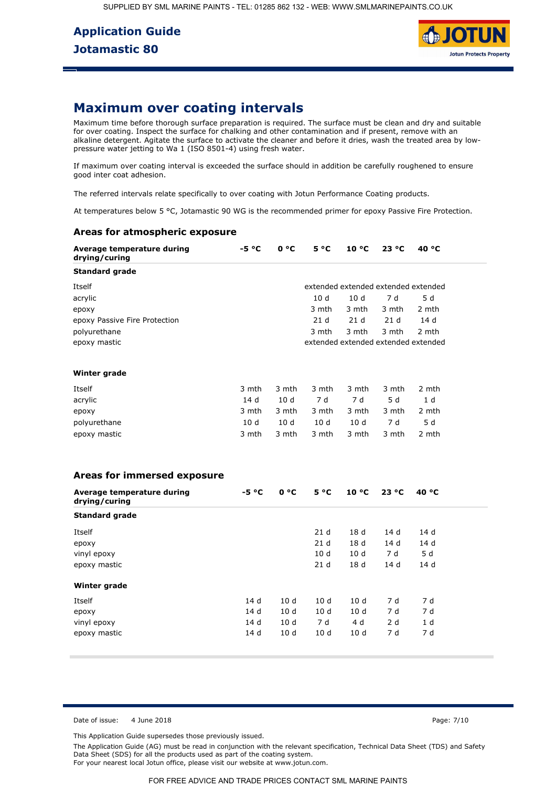

## **Maximum over coating intervals**

[Maximum time before thorough surface preparation is required. The surface must be clean and dry and suitable](https://www.smlmarinepaints.co.uk/primers/jotamastic-range/jotamastic-80)  for over coating. Inspect the surface for chalking and other contamination and if present, remove with an alkaline detergent. Agitate the surface to activate the cleaner and before it dries, wash the treated area by lowpressure water jetting to Wa 1 (ISO 8501-4) using fresh water.

If maximum over coating interval is exceeded the surface should in addition be carefully roughened to ensure good inter coat adhesion.

The referred intervals relate specifically to over coating with Jotun Performance Coating products.

At temperatures below 5 °C, Jotamastic 90 WG is the recommended primer for epoxy Passive Fire Protection.

### **Areas for atmospheric exposure**

| Average temperature during<br>drying/curing | $-5 °C$         | 0 °C  | $5^{\circ}C$    | $10^{\circ}$ C  | 23 °C | 40 °C                               |
|---------------------------------------------|-----------------|-------|-----------------|-----------------|-------|-------------------------------------|
| <b>Standard grade</b>                       |                 |       |                 |                 |       |                                     |
| <b>Itself</b>                               |                 |       |                 |                 |       | extended extended extended extended |
| acrylic                                     |                 |       | 10d             | 10d             | 7d    | 5d                                  |
| ероху                                       |                 |       | 3 mth           | 3 mth           | 3 mth | 2 mth                               |
| epoxy Passive Fire Protection               |                 |       | 21 <sub>d</sub> | 21d             | 21d   | 14d                                 |
| polyurethane                                |                 |       | 3 mth           | 3 mth           | 3 mth | 2 mth                               |
| epoxy mastic                                |                 |       |                 |                 |       | extended extended extended extended |
| Winter grade                                |                 |       |                 |                 |       |                                     |
| Itself                                      | 3 mth           | 3 mth | 3 mth           | 3 mth           | 3 mth | 2 mth                               |
| acrylic                                     | 14d             | 10d   | 7d              | 7 d             | 5d    | 1 <sub>d</sub>                      |
| epoxy                                       | 3 mth           | 3 mth | 3 mth           | 3 mth           | 3 mth | 2 mth                               |
| polyurethane                                | 10 <sub>d</sub> | 10d   | 10 <sub>d</sub> | 10 <sub>d</sub> | 7 d   | 5d                                  |
| epoxy mastic                                | 3 mth           | 3 mth | 3 mth           | 3 mth           | 3 mth | 2 mth                               |
| Areas for immersed exposure                 |                 |       |                 |                 |       |                                     |
| Average temperature during<br>drying/curing | $-5 °C$         | 0 °C  | $5^{\circ}C$    | $10^{\circ}$ C  | 23 °C | 40 °C                               |
| <b>Standard grade</b>                       |                 |       |                 |                 |       |                                     |
| Itself                                      |                 |       | 21d             | 18 <sub>d</sub> | 14d   | 14d                                 |
| epoxy                                       |                 |       | 21d             | 18 <sub>d</sub> | 14 d  | 14d                                 |
| vinyl epoxy                                 |                 |       | 10d             | 10d             | 7 d   | 5d                                  |
| epoxy mastic                                |                 |       | 21d             | 18 d            | 14 d  | 14 d                                |
|                                             |                 |       |                 |                 |       |                                     |

| Winter grade |      |      |     |      |     |     |
|--------------|------|------|-----|------|-----|-----|
| Itself       | 14 d | 10d  | 10d | 10 d | 7 d | 7 d |
| epoxy        | 14 d | 10 d | 10d | 10d  | 7 d | 7 d |
| vinyl epoxy  | 14 d | 10d  | 7 d | 4 d  | 2 d | 1 d |
| epoxy mastic | 14d  | 10 d | 10d | 10d  | 7 d | 7 d |

Date of issue: 4 June 2018 **Page: 7/10** Page: 7/10

This Application Guide supersedes those previously issued.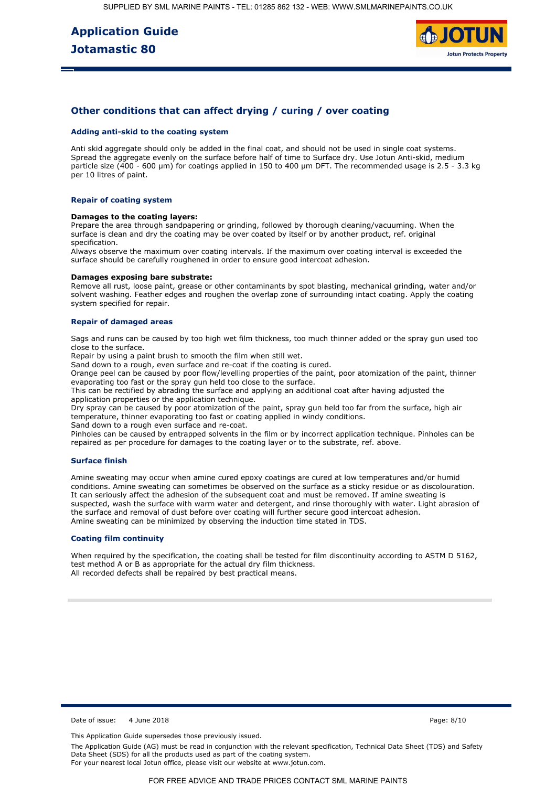

## **Other conditions that can affect drying / curing / over coating**

#### **Adding anti-skid to the coating system**

Anti skid aggregate should only be added in the final coat, and should not be used in single coat systems. Spread the aggregate evenly on the surface before half of time to Surface dry. Use Jotun Anti-skid, medium particle size (400 - 600 µm) for coatings applied in 150 to 400 µm DFT. The recommended usage is 2.5 - 3.3 kg per 10 litres of paint.

### **Repair of coating system**

#### **Damages to the coating layers:**

Prepare the area through sandpapering or grinding, followed by thorough cleaning/vacuuming. When the surface is clean and dry the coating may be over coated by itself or by another product, ref. original specification.

Always observe the maximum over coating intervals. If the maximum over coating interval is exceeded the surface should be carefully roughened in order to ensure good intercoat adhesion.

#### **Damages exposing bare substrate:**

Remove all rust, loose paint, grease or other contaminants by spot blasting, mechanical grinding, water and/or solvent washing. Feather edges and roughen the overlap zone of surrounding intact coating. Apply the coating system specified for repair.

#### **Repair of damaged areas**

Sags and runs can be caused by too high wet film thickness, too much thinner added or the spray gun used too close to the surface.

Repair by using a paint brush to smooth the film when still wet.

Sand down to a rough, even surface and re-coat if the coating is cured.

Orange peel can be caused by poor flow/levelling properties of the paint, poor atomization of the paint, thinner evaporating too fast or the spray gun held too close to the surface.

This can be rectified by abrading the surface and applying an additional coat after having adjusted the application properties or the application technique.

Dry spray can be caused by poor atomization of the paint, spray gun held too far from the surface, high air temperature, thinner evaporating too fast or coating applied in windy conditions.

Sand down to a rough even surface and re-coat.

Pinholes can be caused by entrapped solvents in the film or by incorrect application technique. Pinholes can be repaired as per procedure for damages to the coating layer or to the substrate, ref. above.

#### **Surface finish**

Amine sweating may occur when amine cured epoxy coatings are cured at low temperatures and/or humid conditions. Amine sweating can sometimes be observed on the surface as a sticky residue or as discolouration. It can seriously affect the adhesion of the subsequent coat and must be removed. If amine sweating is suspected, wash the surface with warm water and detergent, and rinse thoroughly with water. Light abrasion of the surface and removal of dust before over coating will further secure good intercoat adhesion. Amine sweating can be minimized by observing the induction time stated in TDS.

#### **Coating film continuity**

When required by the specification, the coating shall be tested for film discontinuity according to ASTM D 5162, test method A or B as appropriate for the actual dry film thickness. All recorded defects shall be repaired by best practical means.

Date of issue: 4 June 2018 Page: 8/10

This Application Guide supersedes those previously issued.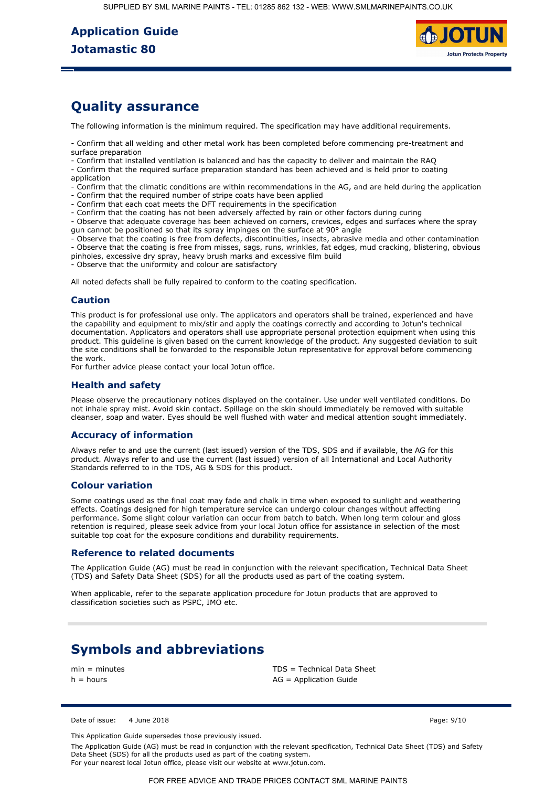SUPPLIED BY SML MARINE PAINTS - TEL: 01285 862 132 - WEB: WWW.SMLMARINEPAINTS.CO.UK

# **Application Guide Jotamastic 80**



## **Quality assurance**

The following information is the minimum required. The specification may have additional requirements.

- Confirm that all welding and other metal work has been completed before commencing pre-treatment and surface preparation

- Confirm that installed ventilation is balanced and has the capacity to deliver and maintain the RAQ

- Confirm that the required surface preparation standard has been achieved and is held prior to coating application

[- Confirm that the climatic conditions are within recommendations in the AG, and are held during the application](https://www.smlmarinepaints.co.uk/primers/jotamastic-range/jotamastic-80)  - Confirm that the required number of stripe coats have been applied

- Confirm that each coat meets the DFT requirements in the specification
- Confirm that the coating has not been adversely affected by rain or other factors during curing

- Observe that adequate coverage has been achieved on corners, crevices, edges and surfaces where the spray gun cannot be positioned so that its spray impinges on the surface at 90° angle

- Observe that the coating is free from defects, discontinuities, insects, abrasive media and other contamination - Observe that the coating is free from misses, sags, runs, wrinkles, fat edges, mud cracking, blistering, obvious pinholes, excessive dry spray, heavy brush marks and excessive film build

Observe that the uniformity and colour are satisfactory

All noted defects shall be fully repaired to conform to the coating specification.

## **Caution**

This product is for professional use only. The applicators and operators shall be trained, experienced and have the capability and equipment to mix/stir and apply the coatings correctly and according to Jotun's technical documentation. Applicators and operators shall use appropriate personal protection equipment when using this product. This guideline is given based on the current knowledge of the product. Any suggested deviation to suit the site conditions shall be forwarded to the responsible Jotun representative for approval before commencing the work.

For further advice please contact your local Jotun office.

## **Health and safety**

Please observe the precautionary notices displayed on the container. Use under well ventilated conditions. Do not inhale spray mist. Avoid skin contact. Spillage on the skin should immediately be removed with suitable cleanser, soap and water. Eyes should be well flushed with water and medical attention sought immediately.

## **Accuracy of information**

Always refer to and use the current (last issued) version of the TDS, SDS and if available, the AG for this product. Always refer to and use the current (last issued) version of all International and Local Authority Standards referred to in the TDS, AG & SDS for this product.

## **Colour variation**

Some coatings used as the final coat may fade and chalk in time when exposed to sunlight and weathering effects. Coatings designed for high temperature service can undergo colour changes without affecting performance. Some slight colour variation can occur from batch to batch. When long term colour and gloss retention is required, please seek advice from your local Jotun office for assistance in selection of the most suitable top coat for the exposure conditions and durability requirements.

### **Reference to related documents**

The Application Guide (AG) must be read in conjunction with the relevant specification, Technical Data Sheet (TDS) and Safety Data Sheet (SDS) for all the products used as part of the coating system.

When applicable, refer to the separate application procedure for Jotun products that are approved to classification societies such as PSPC, IMO etc.

# **Symbols and abbreviations**

min = minutes TDS = Technical Data Sheet  $h =$  hours  $AG =$  Application Guide

#### Date of issue: 4 June 2018 Page: 9/10

This Application Guide supersedes those previously issued.